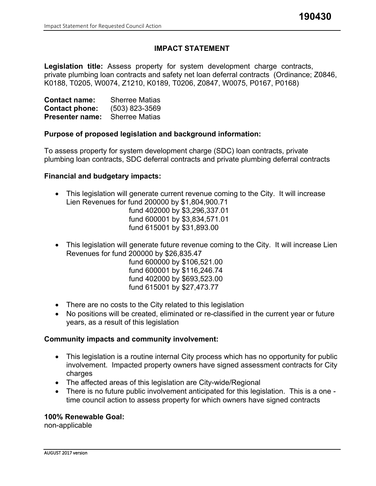# **IMPACT STATEMENT**

**Legislation title:** Assess property for system development charge contracts, private plumbing loan contracts and safety net loan deferral contracts (Ordinance; Z0846, K0188, T0205, W0074, Z1210, K0189, T0206, Z0847, W0075, P0167, P0168)

| <b>Contact name:</b>   | <b>Sherree Matias</b> |
|------------------------|-----------------------|
| <b>Contact phone:</b>  | $(503)$ 823-3569      |
| <b>Presenter name:</b> | <b>Sherree Matias</b> |

### **Purpose of proposed legislation and background information:**

To assess property for system development charge (SDC) loan contracts, private plumbing loan contracts, SDC deferral contracts and private plumbing deferral contracts

#### **Financial and budgetary impacts:**

• This legislation will generate current revenue coming to the City. It will increase Lien Revenues for fund 200000 by \$1,804,900.71

fund 402000 by \$3,296,337.01 fund 600001 by \$3,834,571.01 fund 615001 by \$31,893.00

• This legislation will generate future revenue coming to the City. It will increase Lien Revenues for fund 200000 by \$26,835.47

fund 600000 by \$106,521.00 fund 600001 by \$116,246.74 fund 402000 by \$693,523.00 fund 615001 by \$27,473.77

- There are no costs to the City related to this legislation
- No positions will be created, eliminated or re-classified in the current year or future years, as a result of this legislation

#### **Community impacts and community involvement:**

- This legislation is a routine internal City process which has no opportunity for public involvement. Impacted property owners have signed assessment contracts for City charges
- The affected areas of this legislation are City-wide/Regional
- There is no future public involvement anticipated for this legislation. This is a one time council action to assess property for which owners have signed contracts

#### **100% Renewable Goal:**

non-applicable